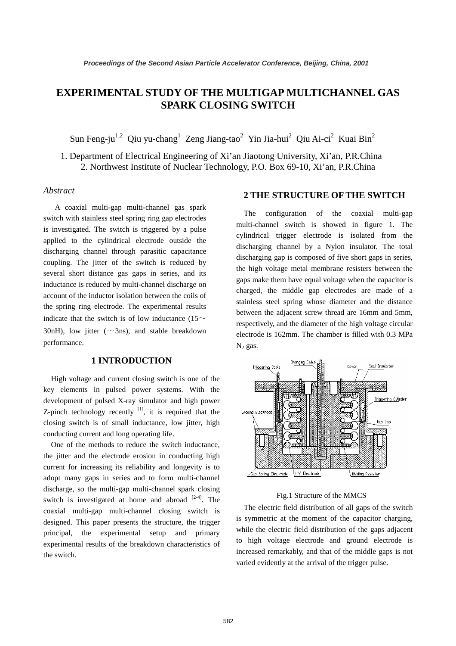# **EXPERIMENTAL STUDY OF THE MULTIGAP MULTICHANNEL GAS SPARK CLOSING SWITCH**

Sun Feng-ju<sup>1,2</sup> Qiu yu-chang<sup>1</sup> Zeng Jiang-tao<sup>2</sup> Yin Jia-hui<sup>2</sup> Qiu Ai-ci<sup>2</sup> Kuai Bin<sup>2</sup>

1. Department of Electrical Engineering of Xi'an Jiaotong University, Xi'an, P.R.China 2. Northwest Institute of Nuclear Technology, P.O. Box 69-10, Xi'an, P.R.China

### *Abstract*

A coaxial multi-gap multi-channel gas spark switch with stainless steel spring ring gap electrodes is investigated. The switch is triggered by a pulse applied to the cylindrical electrode outside the discharging channel through parasitic capacitance coupling. The jitter of the switch is reduced by several short distance gas gaps in series, and its inductance is reduced by multi-channel discharge on account of the inductor isolation between the coils of the spring ring electrode. The experimental results indicate that the switch is of low inductance (15 $\sim$ 30nH), low jitter ( $\sim$ 3ns), and stable breakdown performance.

### **1 INTRODUCTION**

High voltage and current closing switch is one of the key elements in pulsed power systems. With the development of pulsed X-ray simulator and high power Z-pinch technology recently  $[1]$ , it is required that the closing switch is of small inductance, low jitter, high conducting current and long operating life.

One of the methods to reduce the switch inductance, the jitter and the electrode erosion in conducting high current for increasing its reliability and longevity is to adopt many gaps in series and to form multi-channel discharge, so the multi-gap multi-channel spark closing switch is investigated at home and abroad  $[2-4]$ . The coaxial multi-gap multi-channel closing switch is designed. This paper presents the structure, the trigger principal, the experimental setup and primary experimental results of the breakdown characteristics of the switch.

## **2 THE STRUCTURE OF THE SWITCH**

The configuration of the coaxial multi-gap multi-channel switch is showed in figure 1. The cylindrical trigger electrode is isolated from the discharging channel by a Nylon insulator. The total discharging gap is composed of five short gaps in series, the high voltage metal membrane resisters between the gaps make them have equal voltage when the capacitor is charged, the middle gap electrodes are made of a stainless steel spring whose diameter and the distance between the adjacent screw thread are 16mm and 5mm, respectively, and the diameter of the high voltage circular electrode is 162mm. The chamber is filled with 0.3 MPa  $N_2$  gas.



#### Fig.1 Structure of the MMCS

The electric field distribution of all gaps of the switch is symmetric at the moment of the capacitor charging, while the electric field distribution of the gaps adjacent to high voltage electrode and ground electrode is increased remarkably, and that of the middle gaps is not varied evidently at the arrival of the trigger pulse.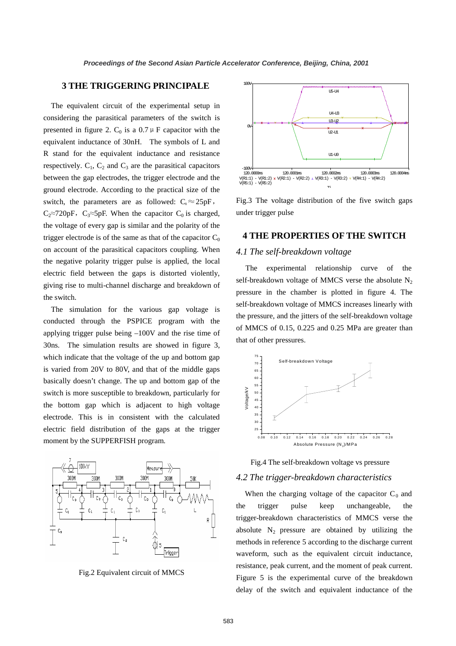### **3 THE TRIGGERING PRINCIPALE**

The equivalent circuit of the experimental setup in considering the parasitical parameters of the switch is presented in figure 2.  $C_0$  is a 0.7  $\mu$  F capacitor with the equivalent inductance of 30nH. The symbols of L and R stand for the equivalent inductance and resistance respectively.  $C_1$ ,  $C_2$  and  $C_3$  are the parasitical capacitors between the gap electrodes, the trigger electrode and the ground electrode. According to the practical size of the switch, the parameters are as followed:  $C_1 \approx 25pF$ , C<sub>2</sub>≈720pF, C<sub>3</sub>≈5pF. When the capacitor C<sub>0</sub> is charged, the voltage of every gap is similar and the polarity of the trigger electrode is of the same as that of the capacitor  $C_0$ on account of the parasitical capacitors coupling. When the negative polarity trigger pulse is applied, the local electric field between the gaps is distorted violently, giving rise to multi-channel discharge and breakdown of the switch.

The simulation for the various gap voltage is conducted through the PSPICE program with the applying trigger pulse being –100V and the rise time of 30ns. The simulation results are showed in figure 3, which indicate that the voltage of the up and bottom gap is varied from 20V to 80V, and that of the middle gaps basically doesn't change. The up and bottom gap of the switch is more susceptible to breakdown, particularly for the bottom gap which is adjacent to high voltage electrode. This is in consistent with the calculated electric field distribution of the gaps at the trigger moment by the SUPPERFISH program.



Fig.2 Equivalent circuit of MMCS



Fig.3 The voltage distribution of the five switch gaps under trigger pulse

#### **4 THE PROPERTIES OF THE SWITCH**

#### *4.1 The self-breakdown voltage*

The experimental relationship curve of the self-breakdown voltage of MMCS verse the absolute  $N_2$ pressure in the chamber is plotted in figure 4. The self-breakdown voltage of MMCS increases linearly with the pressure, and the jitters of the self-breakdown voltage of MMCS of 0.15, 0.225 and 0.25 MPa are greater than that of other pressures.





#### *4.2 The trigger-breakdown characteristics*

When the charging voltage of the capacitor  $C_0$  and the trigger pulse keep unchangeable, the trigger-breakdown characteristics of MMCS verse the absolute  $N_2$  pressure are obtained by utilizing the methods in reference 5 according to the discharge current waveform, such as the equivalent circuit inductance, resistance, peak current, and the moment of peak current. Figure 5 is the experimental curve of the breakdown delay of the switch and equivalent inductance of the